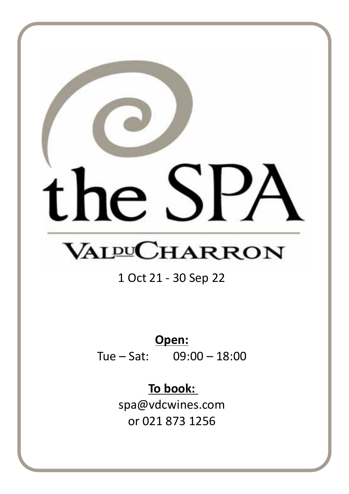# Ie **VALPUCHARRON**

# 1 Oct 21 - 30 Sep 22

# **Open:**

Tue – Sat: 09:00 – 18:00

# **To book:**

spa@vdcwines.com or 021 873 1256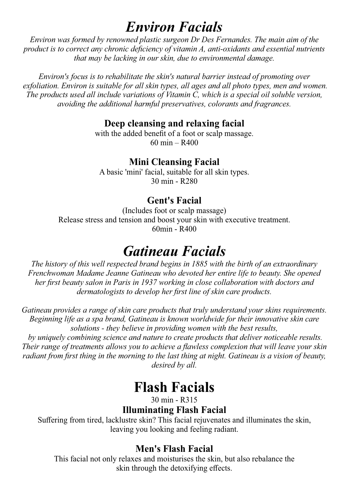# *Environ Facials*

*Environ was formed by renowned plastic surgeon Dr Des Fernandes. The main aim of the product is to correct any chronic deficiency of vitamin A, anti-oxidants and essential nutrients that may be lacking in our skin, due to environmental damage.*

*Environ's focus is to rehabilitate the skin's natural barrier instead of promoting over exfoliation. Environ is suitable for all skin types, all ages and all photo types, men and women. The products used all include variations of Vitamin C, which is a special oil soluble version, avoiding the additional harmful preservatives, colorants and fragrances.*

### **Deep cleansing and relaxing facial**

with the added benefit of a foot or scalp massage. 60 min – R400

### **Mini Cleansing Facial**

A basic 'mini' facial, suitable for all skin types. 30 min - R280

### **Gent's Facial**

(Includes foot or scalp massage) Release stress and tension and boost your skin with executive treatment. 60min - R400

# *Gatineau Facials*

*The history of this well respected brand begins in 1885 with the birth of an extraordinary Frenchwoman Madame Jeanne Gatineau who devoted her entire life to beauty. She opened her first beauty salon in Paris in 1937 working in close collaboration with doctors and dermatologists to develop her first line of skin care products.*

*Gatineau provides a range of skin care products that truly understand your skins requirements. Beginning life as a spa brand, Gatineau is known worldwide for their innovative skin care solutions - they believe in providing women with the best results,*

 *by uniquely combining science and nature to create products that deliver noticeable results. Their range of treatments allows you to achieve a flawless complexion that will leave your skin radiant from first thing in the morning to the last thing at night. Gatineau is a vision of beauty, desired by all.*

# **Flash Facials**

30 min - R315

### **Illuminating Flash Facial**

Suffering from tired, lacklustre skin? This facial rejuvenates and illuminates the skin, leaving you looking and feeling radiant.

### **Men's Flash Facial**

This facial not only relaxes and moisturises the skin, but also rebalance the skin through the detoxifying effects.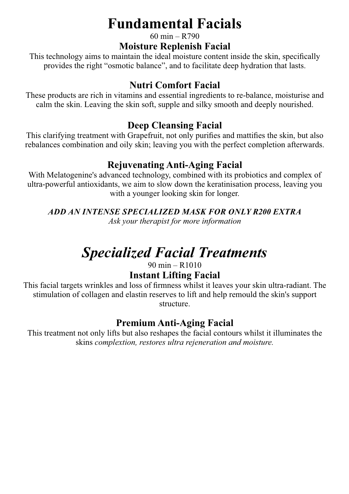# **Fundamental Facials**

60 min – R790

### **Moisture Replenish Facial**

This technology aims to maintain the ideal moisture content inside the skin, specifically provides the right "osmotic balance", and to facilitate deep hydration that lasts.

### **Nutri Comfort Facial**

These products are rich in vitamins and essential ingredients to re-balance, moisturise and calm the skin. Leaving the skin soft, supple and silky smooth and deeply nourished.

### **Deep Cleansing Facial**

This clarifying treatment with Grapefruit, not only purifies and mattifies the skin, but also rebalances combination and oily skin; leaving you with the perfect completion afterwards.

### **Rejuvenating Anti-Aging Facial**

With Melatogenine's advanced technology, combined with its probiotics and complex of ultra-powerful antioxidants, we aim to slow down the keratinisation process, leaving you with a younger looking skin for longer.

*ADD AN INTENSE SPECIALIZED MASK FOR ONLY R200 EXTRA*

*Ask your therapist for more information*

# *Specialized Facial Treatments*

90 min – R1010

### **Instant Lifting Facial**

This facial targets wrinkles and loss of firmness whilst it leaves your skin ultra-radiant. The stimulation of collagen and elastin reserves to lift and help remould the skin's support structure.

### **Premium Anti-Aging Facial**

This treatment not only lifts but also reshapes the facial contours whilst it illuminates the skins *complextion, restores ultra rejeneration and moisture.*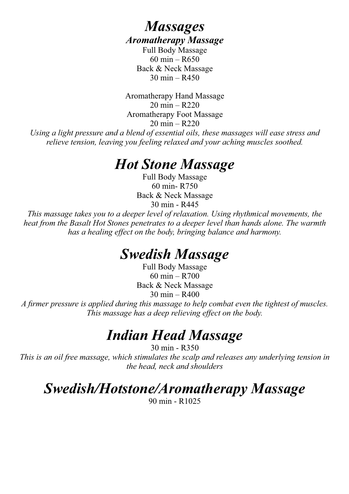## *Massages Aromatherapy Massage*

Full Body Massage 60 min – R650 Back & Neck Massage  $30 \text{ min} - R450$ 

Aromatherapy Hand Massage 20 min – R220 Aromatherapy Foot Massage 20 min – R220

*Using a light pressure and a blend of essential oils, these massages will ease stress and relieve tension, leaving you feeling relaxed and your aching muscles soothed.*

# *Hot Stone Massage*

Full Body Massage 60 min- R750 Back & Neck Massage 30 min - R445

*This massage takes you to a deeper level of relaxation. Using rhythmical movements, the heat from the Basalt Hot Stones penetrates to a deeper level than hands alone. The warmth has a healing effect on the body, bringing balance and harmony.*

# *Swedish Massage*

Full Body Massage 60 min – R700 Back & Neck Massage 30 min – R400

*A firmer pressure is applied during this massage to help combat even the tightest of muscles. This massage has a deep relieving effect on the body.*

# *Indian Head Massage*

30 min - R350 *This is an oil free massage, which stimulates the scalp and releases any underlying tension in the head, neck and shoulders*

# *Swedish/Hotstone/Aromatherapy Massage*

90 min - R1025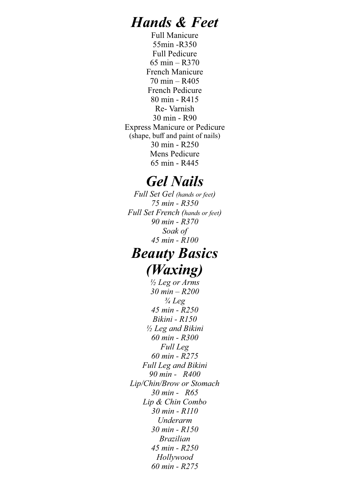# *Hands & Feet*

Full Manicure 55min -R350 Full Pedicure 65 min – R370 French Manicure 70 min – R405 French Pedicure 80 min - R415 Re- Varnish 30 min - R90 Express Manicure or Pedicure (shape, buff and paint of nails) 30 min - R250 Mens Pedicure 65 min - R445

# *Gel Nails*

*Full Set Gel (hands or feet) 75 min - R350 Full Set French (hands or feet) 90 min - R370 Soak of 45 min - R100*

# *Beauty Basics (Waxing)*

*½ Leg or Arms 30 min – R200 ¾ Leg 45 min - R250 Bikini - R150 ½ Leg and Bikini 60 min - R300 Full Leg 60 min - R275 Full Leg and Bikini 90 min - R400 Lip/Chin/Brow or Stomach 30 min - R65 Lip & Chin Combo 30 min - R110 Underarm 30 min - R150 Brazilian 45 min - R250 Hollywood 60 min - R275*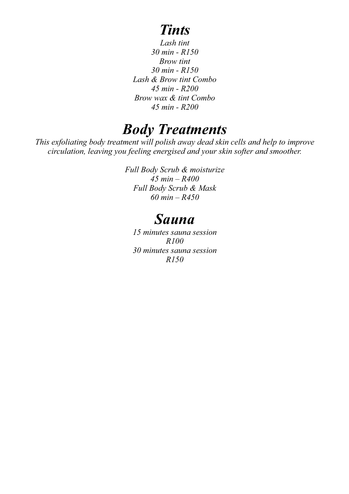# *Tints*

*Lash tint 30 min - R150 Brow tint 30 min - R150 Lash & Brow tint Combo 45 min - R200 Brow wax & tint Combo 45 min - R200*

# *Body Treatments*

*This exfoliating body treatment will polish away dead skin cells and help to improve circulation, leaving you feeling energised and your skin softer and smoother.*

> *Full Body Scrub & moisturize 45 min – R400 Full Body Scrub & Mask 60 min – R450*

# *Sauna*

*15 minutes sauna session R100 30 minutes sauna session R150*